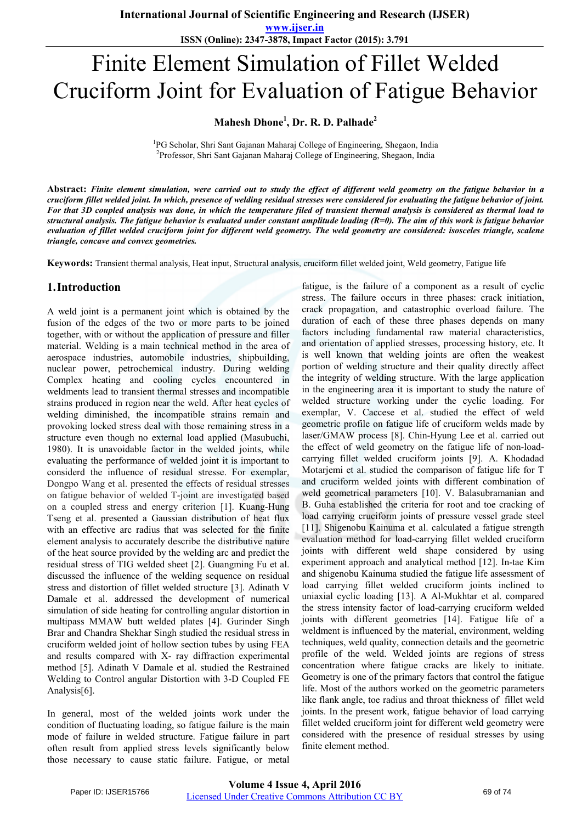**ISSN (Online): 2347-3878, Impact Factor (2015): 3.791**

# Finite Element Simulation of Fillet Welded Cruciform Joint for Evaluation of Fatigue Behavior

## **Mahesh Dhone<sup>1</sup> , Dr. R. D. Palhade<sup>2</sup>**

<sup>1</sup>PG Scholar, Shri Sant Gajanan Maharaj College of Engineering, Shegaon, India<br><sup>2</sup>Professor, Shri Sant Gajanan Maharaj College of Engineering, Shegaon, India <sup>2</sup>Professor, Shri Sant Gajanan Maharaj College of Engineering, Shegaon, India

**Abstract:** *Finite element simulation, were carried out to study the effect of different weld geometry on the fatigue behavior in a cruciform fillet welded joint. In which, presence of welding residual stresses were considered for evaluating the fatigue behavior of joint. For that 3D coupled analysis was done, in which the temperature filed of transient thermal analysis is considered as thermal load to structural analysis. The fatigue behavior is evaluated under constant amplitude loading (R=0). The aim of this work is fatigue behavior evaluation of fillet welded cruciform joint for different weld geometry. The weld geometry are considered: isosceles triangle, scalene triangle, concave and convex geometries.*

**Keywords:** Transient thermal analysis, Heat input, Structural analysis, cruciform fillet welded joint, Weld geometry, Fatigue life

## **1.Introduction**

A weld joint is a permanent joint which is obtained by the fusion of the edges of the two or more parts to be joined together, with or without the application of pressure and filler material. Welding is a main technical method in the area of aerospace industries, automobile industries, shipbuilding, nuclear power, petrochemical industry. During welding Complex heating and cooling cycles encountered in weldments lead to transient thermal stresses and incompatible strains produced in region near the weld. After heat cycles of welding diminished, the incompatible strains remain and provoking locked stress deal with those remaining stress in a structure even though no external load applied (Masubuchi, 1980). It is unavoidable factor in the welded joints, while evaluating the performance of welded joint it is important to considerd the influence of residual stresse. For exemplar, Dongpo Wang et al. presented the effects of residual stresses on fatigue behavior of welded T-joint are investigated based on a coupled stress and energy criterion [1]. Kuang-Hung Tseng et al. presented a Gaussian distribution of heat flux with an effective arc radius that was selected for the finite element analysis to accurately describe the distributive nature of the heat source provided by the welding arc and predict the residual stress of TIG welded sheet [2]. Guangming Fu et al. discussed the influence of the welding sequence on residual stress and distortion of fillet welded structure [3]. Adinath V Damale et al. addressed the development of numerical simulation of side heating for controlling angular distortion in multipass MMAW butt welded plates [4]. Gurinder Singh Brar and Chandra Shekhar Singh studied the residual stress in cruciform welded joint of hollow section tubes by using FEA and results compared with X- ray diffraction experimental method [5]. Adinath V Damale et al. studied the Restrained Welding to Control angular Distortion with 3-D Coupled FE Analysis[6].

In general, most of the welded joints work under the condition of fluctuating loading, so fatigue failure is the main mode of failure in welded structure. Fatigue failure in part often result from applied stress levels significantly below those necessary to cause static failure. Fatigue, or metal

fatigue, is the failure of a component as a result of cyclic stress. The failure occurs in three phases: crack initiation, crack propagation, and catastrophic overload failure. The duration of each of these three phases depends on many factors including fundamental raw material characteristics, and orientation of applied stresses, processing history, etc. It is well known that welding joints are often the weakest portion of welding structure and their quality directly affect the integrity of welding structure. With the large application in the engineering area it is important to study the nature of welded structure working under the cyclic loading. For exemplar, V. Caccese et al. studied the effect of weld geometric profile on fatigue life of cruciform welds made by laser/GMAW process [8]. Chin-Hyung Lee et al. carried out the effect of weld geometry on the fatigue life of non-loadcarrying fillet welded cruciform joints [9]. A. Khodadad Motarjemi et al. studied the comparison of fatigue life for T and cruciform welded joints with different combination of weld geometrical parameters [10]. V. Balasubramanian and B. Guha established the criteria for root and toe cracking of load carrying cruciform joints of pressure vessel grade steel [11]. Shigenobu Kainuma et al. calculated a fatigue strength evaluation method for load-carrying fillet welded cruciform joints with different weld shape considered by using experiment approach and analytical method [12]. In-tae Kim and shigenobu Kainuma studied the fatigue life assessment of load carrying fillet welded cruciform joints inclined to uniaxial cyclic loading [13]. A Al-Mukhtar et al. compared the stress intensity factor of load-carrying cruciform welded joints with different geometries [14]. Fatigue life of a weldment is influenced by the material, environment, welding techniques, weld quality, connection details and the geometric profile of the weld. Welded joints are regions of stress concentration where fatigue cracks are likely to initiate. Geometry is one of the primary factors that control the fatigue life. Most of the authors worked on the geometric parameters like flank angle, toe radius and throat thickness of fillet weld joints. In the present work, fatigue behavior of load carrying fillet welded cruciform joint for different weld geometry were considered with the presence of residual stresses by using finite element method.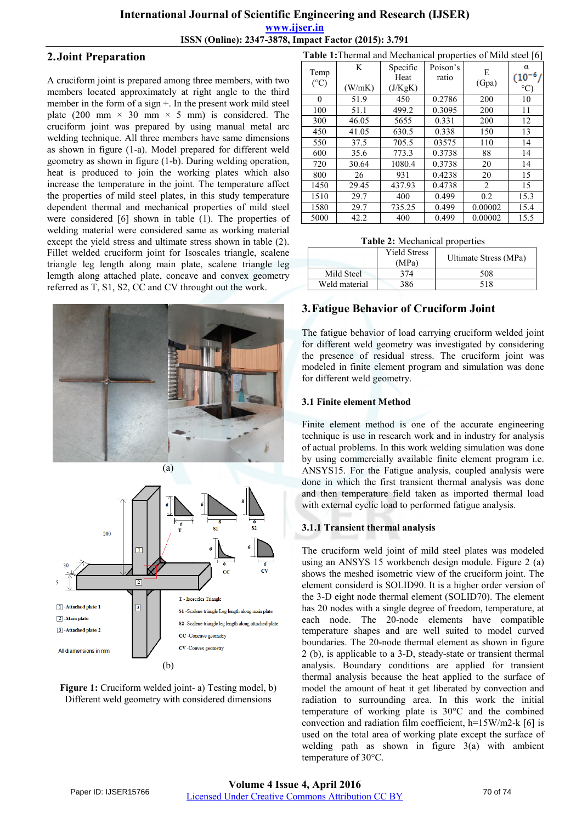**ISSN (Online): 2347-3878, Impact Factor (2015): 3.791**

## **2.Joint Preparation**

A cruciform joint is prepared among three members, with two members located approximately at right angle to the third member in the form of a sign +. In the present work mild steel plate (200 mm  $\times$  30 mm  $\times$  5 mm) is considered. The cruciform joint was prepared by using manual metal arc welding technique. All three members have same dimensions as shown in figure (1-a). Model prepared for different weld geometry as shown in figure (1-b). During welding operation, heat is produced to join the working plates which also increase the temperature in the joint. The temperature affect the properties of mild steel plates, in this study temperature dependent thermal and mechanical properties of mild steel were considered [6] shown in table (1). The properties of welding material were considered same as working material except the yield stress and ultimate stress shown in table (2). Fillet welded cruciform joint for Isoscales triangle, scalene triangle leg length along main plate, scalene triangle leg lemgth along attached plate, concave and convex geometry referred as T, S1, S2, CC and CV throught out the work.







| <b>Table 1:</b> Thermal and Mechanical properties of Mild steel [6] |             |                             |                   |            |                                     |
|---------------------------------------------------------------------|-------------|-----------------------------|-------------------|------------|-------------------------------------|
| Temp<br>$(^{\circ}C)$                                               | K<br>(W/mK) | Specific<br>Heat<br>(J/KgK) | Poison's<br>ratio | E<br>(Gpa) | α<br>$(10^{-6}/$<br>$\rm ^{\circ}C$ |
| $\Omega$                                                            | 51.9        | 450                         | 0.2786            | 200        | 10                                  |
| 100                                                                 | 51.1        | 499.2                       | 0.3095            | 200        | 11                                  |
| 300                                                                 | 46.05       | 5655                        | 0.331             | 200        | 12                                  |
| 450                                                                 | 41.05       | 630.5                       | 0.338             | 150        | 13                                  |
| 550                                                                 | 37.5        | 705.5                       | 03575             | 110        | 14                                  |
| 600                                                                 | 35.6        | 773.3                       | 0.3738            | 88         | 14                                  |
| 720                                                                 | 30.64       | 1080.4                      | 0.3738            | 20         | 14                                  |
| 800                                                                 | 26          | 931                         | 0.4238            | 20         | 15                                  |
| 1450                                                                | 29.45       | 437.93                      | 0.4738            | 2          | 15                                  |
| 1510                                                                | 29.7        | 400                         | 0.499             | 0.2        | 15.3                                |
| 1580                                                                | 29.7        | 735.25                      | 0.499             | 0.00002    | 15.4                                |
| 5000                                                                | 42.2        | 400                         | 0.499             | 0.00002    | 15.5                                |

| Table 2: Mechanical properties |  |
|--------------------------------|--|
|--------------------------------|--|

|               | <b>Yield Stress</b><br>(MPa) | Ultimate Stress (MPa) |
|---------------|------------------------------|-----------------------|
| Mild Steel    | 371                          | 508                   |
| Weld material | 386                          | 518                   |

## **3.Fatigue Behavior of Cruciform Joint**

The fatigue behavior of load carrying cruciform welded joint for different weld geometry was investigated by considering the presence of residual stress. The cruciform joint was modeled in finite element program and simulation was done for different weld geometry.

#### **3.1 Finite element Method**

Finite element method is one of the accurate engineering technique is use in research work and in industry for analysis of actual problems. In this work welding simulation was done by using commercially available finite element program i.e. ANSYS15. For the Fatigue analysis, coupled analysis were done in which the first transient thermal analysis was done and then temperature field taken as imported thermal load with external cyclic load to performed fatigue analysis.

### **3.1.1 Transient thermal analysis**

The cruciform weld joint of mild steel plates was modeled using an ANSYS 15 workbench design module. Figure 2 (a) shows the meshed isometric view of the cruciform joint. The element considerd is SOLID90. It is a higher order version of the 3-D eight node thermal element (SOLID70). The element has 20 nodes with a single degree of freedom, temperature, at each node. The 20-node elements have compatible temperature shapes and are well suited to model curved boundaries. The 20-node thermal element as shown in figure 2 (b), is applicable to a 3-D, steady-state or transient thermal analysis. Boundary conditions are applied for transient thermal analysis because the heat applied to the surface of model the amount of heat it get liberated by convection and radiation to surrounding area. In this work the initial temperature of working plate is 30°C and the combined convection and radiation film coefficient, h=15W/m2-k [6] is used on the total area of working plate except the surface of welding path as shown in figure 3(a) with ambient temperature of 30°C.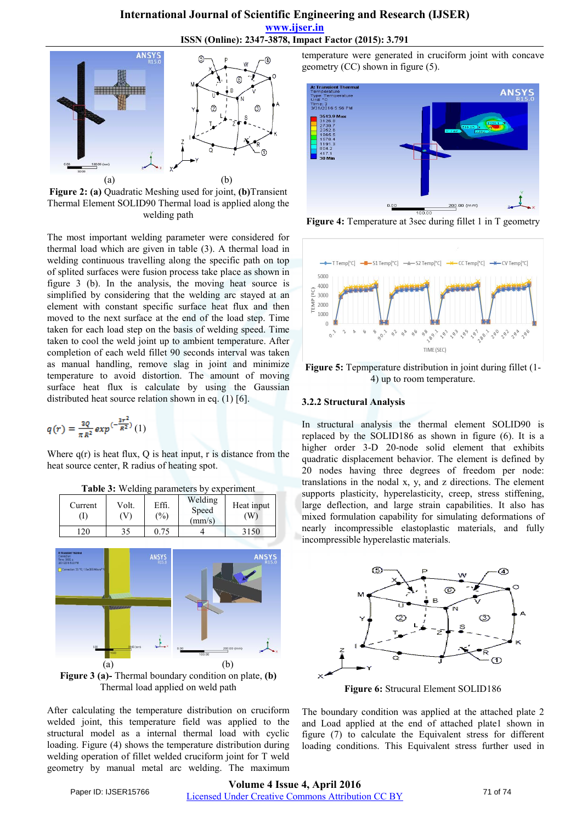#### **International Journal of Scientific Engineering and Research (IJSER)**

**www.ijser.in**

**ISSN (Online): 2347-3878, Impact Factor (2015): 3.791**



**Figure 2: (a)** Quadratic Meshing used for joint, **(b)**Transient Thermal Element SOLID90 Thermal load is applied along the welding path

The most important welding parameter were considered for thermal load which are given in table (3). A thermal load in welding continuous travelling along the specific path on top of splited surfaces were fusion process take place as shown in figure 3 (b). In the analysis, the moving heat source is simplified by considering that the welding arc stayed at an element with constant specific surface heat flux and then moved to the next surface at the end of the load step. Time taken for each load step on the basis of welding speed. Time taken to cool the weld joint up to ambient temperature. After completion of each weld fillet 90 seconds interval was taken as manual handling, remove slag in joint and minimize temperature to avoid distortion. The amount of moving surface heat flux is calculate by using the Gaussian distributed heat source relation shown in eq. (1) [6].

$$
q(r) = \frac{a_0}{\pi R^2} exp^{(-\frac{3r^2}{R^2})} (1)
$$

Where  $q(r)$  is heat flux, Q is heat input, r is distance from the heat source center, R radius of heating spot.

| Current<br>(I) | Volt.<br>(V) | Effi.<br>(%) | Welding<br>Speed<br>$\text{(mm/s)}$ | Heat input<br>(W) |
|----------------|--------------|--------------|-------------------------------------|-------------------|
|                | 35           | 0.75         |                                     | 3150              |

**Table 3:** Welding parameters by experiment

![](_page_2_Figure_10.jpeg)

Thermal load applied on weld path

After calculating the temperature distribution on cruciform welded joint, this temperature field was applied to the structural model as a internal thermal load with cyclic loading. Figure (4) shows the temperature distribution during welding operation of fillet welded cruciform joint for T weld geometry by manual metal arc welding. The maximum

temperature were generated in cruciform joint with concave geometry (CC) shown in figure (5).

![](_page_2_Figure_14.jpeg)

**Figure 4:** Temperature at 3sec during fillet 1 in T geometry

![](_page_2_Figure_16.jpeg)

**Figure 5:** Tepmperature distribution in joint during fillet (1- 4) up to room temperature.

#### **3.2.2 Structural Analysis**

In structural analysis the thermal element SOLID90 is replaced by the SOLID186 as shown in figure (6). It is a higher order 3-D 20-node solid element that exhibits quadratic displacement behavior. The element is defined by 20 nodes having three degrees of freedom per node: translations in the nodal x, y, and z directions. The element supports plasticity, hyperelasticity, creep, stress stiffening, large deflection, and large strain capabilities. It also has mixed formulation capability for simulating deformations of nearly incompressible elastoplastic materials, and fully incompressible hyperelastic materials.

![](_page_2_Figure_20.jpeg)

**Figure 6:** Strucural Element SOLID186

The boundary condition was applied at the attached plate 2 and Load applied at the end of attached plate1 shown in figure (7) to calculate the Equivalent stress for different loading conditions. This Equivalent stress further used in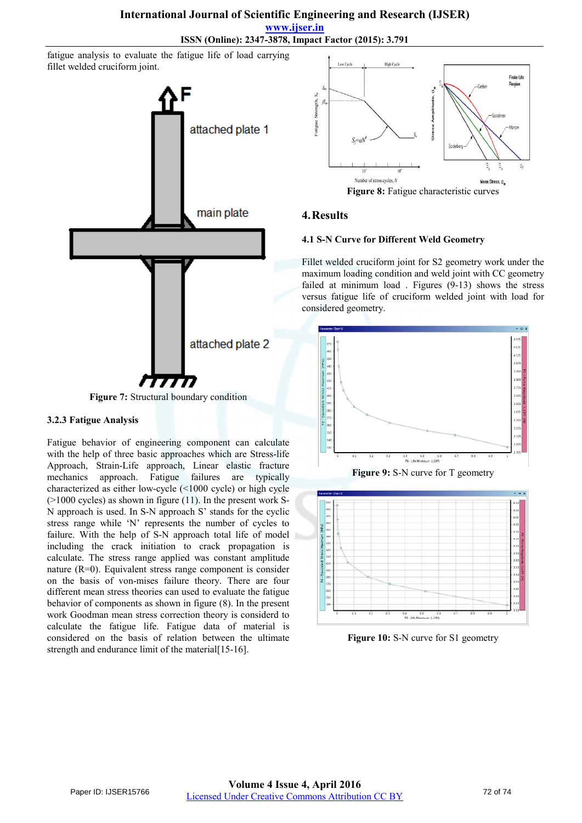**www.ijser.in ISSN (Online): 2347-3878, Impact Factor (2015): 3.791**

fatigue analysis to evaluate the fatigue life of load carrying fillet welded cruciform joint.

![](_page_3_Figure_3.jpeg)

#### **3.2.3 Fatigue Analysis**

Fatigue behavior of engineering component can calculate with the help of three basic approaches which are Stress-life Approach, Strain-Life approach, Linear elastic fracture mechanics approach. Fatigue failures are typically characterized as either low-cycle (<1000 cycle) or high cycle (>1000 cycles) as shown in figure (11). In the present work S-N approach is used. In S-N approach S' stands for the cyclic stress range while 'N' represents the number of cycles to failure. With the help of S-N approach total life of model including the crack initiation to crack propagation is calculate. The stress range applied was constant amplitude nature (R=0). Equivalent stress range component is consider on the basis of von-mises failure theory. There are four different mean stress theories can used to evaluate the fatigue behavior of components as shown in figure (8). In the present work Goodman mean stress correction theory is considerd to calculate the fatigue life. Fatigue data of material is considered on the basis of relation between the ultimate strength and endurance limit of the material [15-16].

![](_page_3_Figure_6.jpeg)

### **4.Results**

#### **4.1 S-N Curve for Different Weld Geometry**

Fillet welded cruciform joint for S2 geometry work under the maximum loading condition and weld joint with CC geometry failed at minimum load . Figures (9-13) shows the stress versus fatigue life of cruciform welded joint with load for considered geometry.

![](_page_3_Figure_10.jpeg)

![](_page_3_Figure_11.jpeg)

![](_page_3_Figure_12.jpeg)

Figure 10: S-N curve for S1 geometry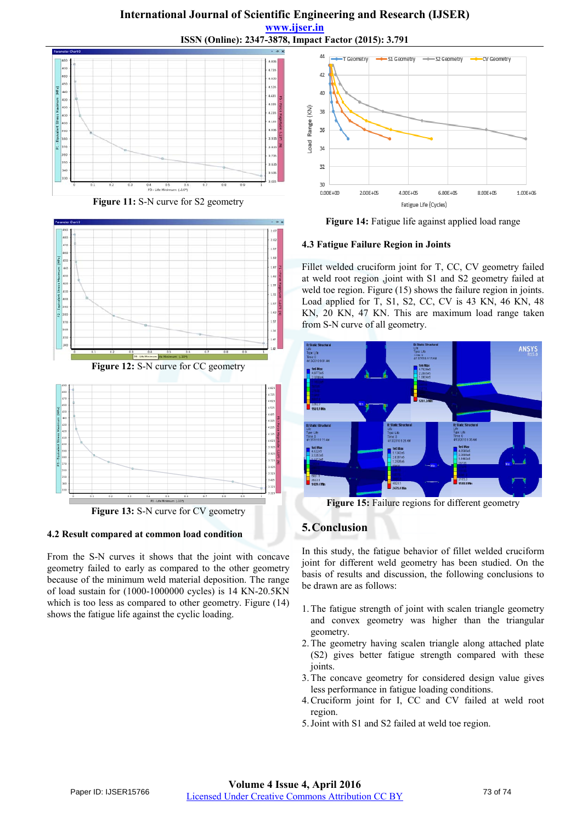## **International Journal of Scientific Engineering and Research (IJSER) www.ijser.in ISSN (Online): 2347-3878, Impact Factor (2015): 3.791**

![](_page_4_Figure_1.jpeg)

**Figure 11:** S-N curve for S2 geometry

![](_page_4_Figure_3.jpeg)

Figure 12: S-N curve for CC geometry

![](_page_4_Figure_5.jpeg)

**Figure 13:** S-N curve for CV geometry

#### **4.2 Result compared at common load condition**

From the S-N curves it shows that the joint with concave geometry failed to early as compared to the other geometry because of the minimum weld material deposition. The range of load sustain for (1000-1000000 cycles) is 14 KN-20.5KN which is too less as compared to other geometry. Figure (14) shows the fatigue life against the cyclic loading.

![](_page_4_Figure_9.jpeg)

**Figure 14:** Fatigue life against applied load range

#### **4.3 Fatigue Failure Region in Joints**

Fillet welded cruciform joint for T, CC, CV geometry failed at weld root region ,joint with S1 and S2 geometry failed at weld toe region. Figure (15) shows the failure region in joints. Load applied for T, S1, S2, CC, CV is 43 KN, 46 KN, 48 KN, 20 KN, 47 KN. This are maximum load range taken from S-N curve of all geometry.

![](_page_4_Figure_13.jpeg)

Figure 15: Failure regions for different geometry

## **5.Conclusion**

In this study, the fatigue behavior of fillet welded cruciform joint for different weld geometry has been studied. On the basis of results and discussion, the following conclusions to be drawn are as follows:

- 1.The fatigue strength of joint with scalen triangle geometry and convex geometry was higher than the triangular geometry.
- 2.The geometry having scalen triangle along attached plate (S2) gives better fatigue strength compared with these joints.
- 3.The concave geometry for considered design value gives less performance in fatigue loading conditions.
- 4.Cruciform joint for I, CC and CV failed at weld root region.
- 5.Joint with S1 and S2 failed at weld toe region.